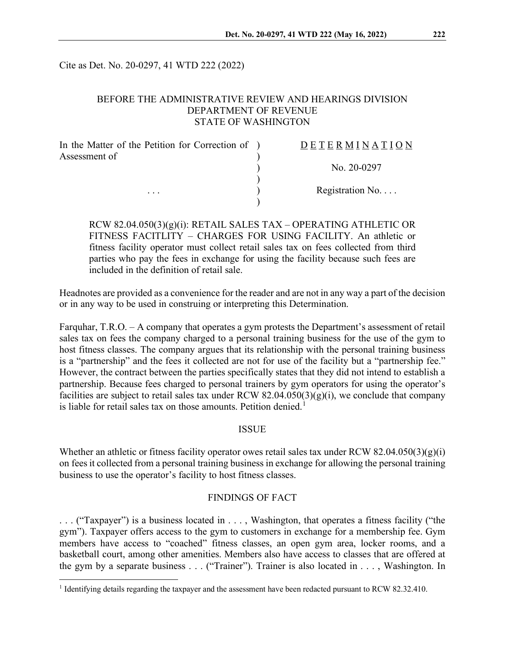Cite as Det. No. 20-0297, 41 WTD 222 (2022)

### BEFORE THE ADMINISTRATIVE REVIEW AND HEARINGS DIVISION DEPARTMENT OF REVENUE STATE OF WASHINGTON

| In the Matter of the Petition for Correction of ) | <b>DETERMINATION</b> |
|---------------------------------------------------|----------------------|
| Assessment of                                     |                      |
|                                                   | No. 20-0297          |
|                                                   |                      |
| $\cdots$                                          | Registration No      |
|                                                   |                      |

RCW 82.04.050(3)(g)(i): RETAIL SALES TAX – OPERATING ATHLETIC OR FITNESS FACITLITY – CHARGES FOR USING FACILITY. An athletic or fitness facility operator must collect retail sales tax on fees collected from third parties who pay the fees in exchange for using the facility because such fees are included in the definition of retail sale.

Headnotes are provided as a convenience for the reader and are not in any way a part of the decision or in any way to be used in construing or interpreting this Determination.

Farquhar, T.R.O. – A company that operates a gym protests the Department's assessment of retail sales tax on fees the company charged to a personal training business for the use of the gym to host fitness classes. The company argues that its relationship with the personal training business is a "partnership" and the fees it collected are not for use of the facility but a "partnership fee." However, the contract between the parties specifically states that they did not intend to establish a partnership. Because fees charged to personal trainers by gym operators for using the operator's facilities are subject to retail sales tax under RCW  $82.04.050(3)(g)(i)$ , we conclude that company is liable for retail sales tax on those amounts. Petition denied.<sup>[1](#page-0-0)</sup>

#### **ISSUE**

Whether an athletic or fitness facility operator owes retail sales tax under RCW 82.04.050(3)(g)(i) on fees it collected from a personal training business in exchange for allowing the personal training business to use the operator's facility to host fitness classes.

#### FINDINGS OF FACT

. . . ("Taxpayer") is a business located in . . . , Washington, that operates a fitness facility ("the gym"). Taxpayer offers access to the gym to customers in exchange for a membership fee. Gym members have access to "coached" fitness classes, an open gym area, locker rooms, and a basketball court, among other amenities. Members also have access to classes that are offered at the gym by a separate business . . . ("Trainer"). Trainer is also located in . . . , Washington. In

<span id="page-0-0"></span><sup>&</sup>lt;sup>1</sup> Identifying details regarding the taxpayer and the assessment have been redacted pursuant to RCW 82.32.410.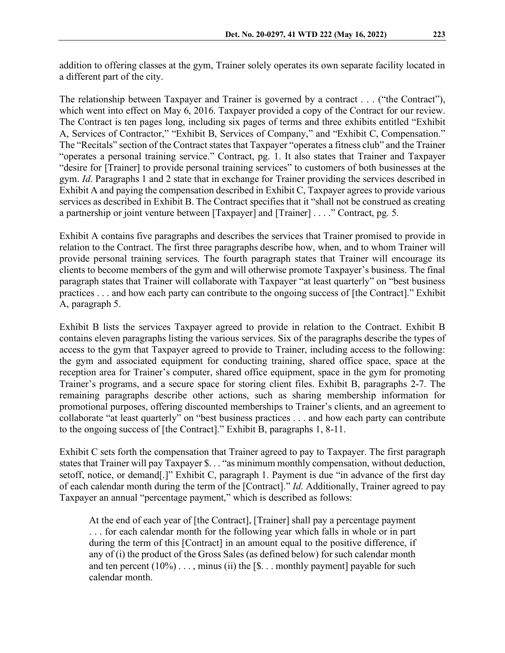addition to offering classes at the gym, Trainer solely operates its own separate facility located in a different part of the city.

The relationship between Taxpayer and Trainer is governed by a contract . . . ("the Contract"), which went into effect on May 6, 2016. Taxpayer provided a copy of the Contract for our review. The Contract is ten pages long, including six pages of terms and three exhibits entitled "Exhibit A, Services of Contractor," "Exhibit B, Services of Company," and "Exhibit C, Compensation." The "Recitals" section of the Contract states that Taxpayer "operates a fitness club" and the Trainer "operates a personal training service." Contract, pg. 1. It also states that Trainer and Taxpayer "desire for [Trainer] to provide personal training services" to customers of both businesses at the gym. *Id*. Paragraphs 1 and 2 state that in exchange for Trainer providing the services described in Exhibit A and paying the compensation described in Exhibit C, Taxpayer agrees to provide various services as described in Exhibit B. The Contract specifies that it "shall not be construed as creating a partnership or joint venture between [Taxpayer] and [Trainer] . . . ." Contract, pg. 5.

Exhibit A contains five paragraphs and describes the services that Trainer promised to provide in relation to the Contract. The first three paragraphs describe how, when, and to whom Trainer will provide personal training services. The fourth paragraph states that Trainer will encourage its clients to become members of the gym and will otherwise promote Taxpayer's business. The final paragraph states that Trainer will collaborate with Taxpayer "at least quarterly" on "best business practices . . . and how each party can contribute to the ongoing success of [the Contract]." Exhibit A, paragraph 5.

Exhibit B lists the services Taxpayer agreed to provide in relation to the Contract. Exhibit B contains eleven paragraphs listing the various services. Six of the paragraphs describe the types of access to the gym that Taxpayer agreed to provide to Trainer, including access to the following: the gym and associated equipment for conducting training, shared office space, space at the reception area for Trainer's computer, shared office equipment, space in the gym for promoting Trainer's programs, and a secure space for storing client files. Exhibit B, paragraphs 2-7. The remaining paragraphs describe other actions, such as sharing membership information for promotional purposes, offering discounted memberships to Trainer's clients, and an agreement to collaborate "at least quarterly" on "best business practices . . . and how each party can contribute to the ongoing success of [the Contract]." Exhibit B, paragraphs 1, 8-11.

Exhibit C sets forth the compensation that Trainer agreed to pay to Taxpayer. The first paragraph states that Trainer will pay Taxpayer \$. . . "as minimum monthly compensation, without deduction, setoff, notice, or demand[.]" Exhibit C, paragraph 1. Payment is due "in advance of the first day of each calendar month during the term of the [Contract]." *Id*. Additionally, Trainer agreed to pay Taxpayer an annual "percentage payment," which is described as follows:

At the end of each year of [the Contract], [Trainer] shall pay a percentage payment . . . for each calendar month for the following year which falls in whole or in part during the term of this [Contract] in an amount equal to the positive difference, if any of (i) the product of the Gross Sales (as defined below) for such calendar month and ten percent  $(10\%) \dots$ , minus (ii) the  $[\$, \dots$  monthly payment] payable for such calendar month.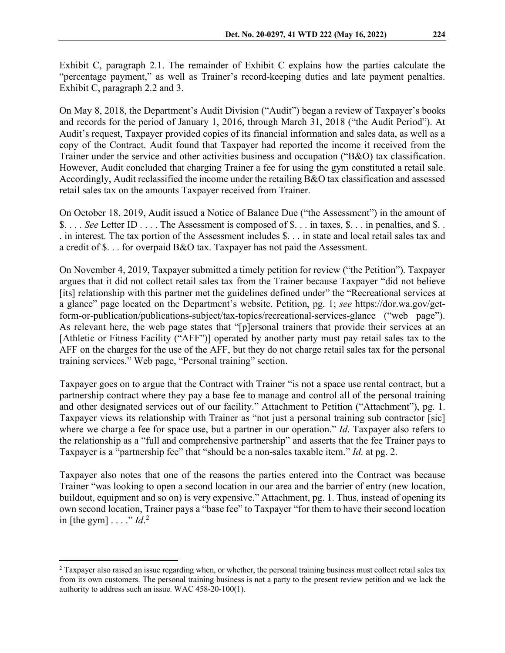Exhibit C, paragraph 2.1. The remainder of Exhibit C explains how the parties calculate the "percentage payment," as well as Trainer's record-keeping duties and late payment penalties. Exhibit C, paragraph 2.2 and 3.

On May 8, 2018, the Department's Audit Division ("Audit") began a review of Taxpayer's books and records for the period of January 1, 2016, through March 31, 2018 ("the Audit Period"). At Audit's request, Taxpayer provided copies of its financial information and sales data, as well as a copy of the Contract. Audit found that Taxpayer had reported the income it received from the Trainer under the service and other activities business and occupation ("B&O) tax classification. However, Audit concluded that charging Trainer a fee for using the gym constituted a retail sale. Accordingly, Audit reclassified the income under the retailing B&O tax classification and assessed retail sales tax on the amounts Taxpayer received from Trainer.

On October 18, 2019, Audit issued a Notice of Balance Due ("the Assessment") in the amount of \$. . . . *See* Letter ID . . . . The Assessment is composed of \$. . . in taxes, \$. . . in penalties, and \$. . . in interest. The tax portion of the Assessment includes \$. . . in state and local retail sales tax and a credit of \$. . . for overpaid B&O tax. Taxpayer has not paid the Assessment.

On November 4, 2019, Taxpayer submitted a timely petition for review ("the Petition"). Taxpayer argues that it did not collect retail sales tax from the Trainer because Taxpayer "did not believe [its] relationship with this partner met the guidelines defined under" the "Recreational services at a glance" page located on the Department's website. Petition, pg. 1; *see* https://dor.wa.gov/getform-or-publication/publications-subject/tax-topics/recreational-services-glance ("web page"). As relevant here, the web page states that "[p]ersonal trainers that provide their services at an [Athletic or Fitness Facility ("AFF")] operated by another party must pay retail sales tax to the AFF on the charges for the use of the AFF, but they do not charge retail sales tax for the personal training services." Web page, "Personal training" section.

Taxpayer goes on to argue that the Contract with Trainer "is not a space use rental contract, but a partnership contract where they pay a base fee to manage and control all of the personal training and other designated services out of our facility." Attachment to Petition ("Attachment"), pg. 1. Taxpayer views its relationship with Trainer as "not just a personal training sub contractor [sic] where we charge a fee for space use, but a partner in our operation." *Id*. Taxpayer also refers to the relationship as a "full and comprehensive partnership" and asserts that the fee Trainer pays to Taxpayer is a "partnership fee" that "should be a non-sales taxable item." *Id*. at pg. 2.

Taxpayer also notes that one of the reasons the parties entered into the Contract was because Trainer "was looking to open a second location in our area and the barrier of entry (new location, buildout, equipment and so on) is very expensive." Attachment, pg. 1. Thus, instead of opening its own second location, Trainer pays a "base fee" to Taxpayer "for them to have their second location in [the gym]  $\ldots$  "*Id*.<sup>[2](#page-2-0)</sup>

<span id="page-2-0"></span><sup>&</sup>lt;sup>2</sup> Taxpayer also raised an issue regarding when, or whether, the personal training business must collect retail sales tax from its own customers. The personal training business is not a party to the present review petition and we lack the authority to address such an issue. WAC 458-20-100(1).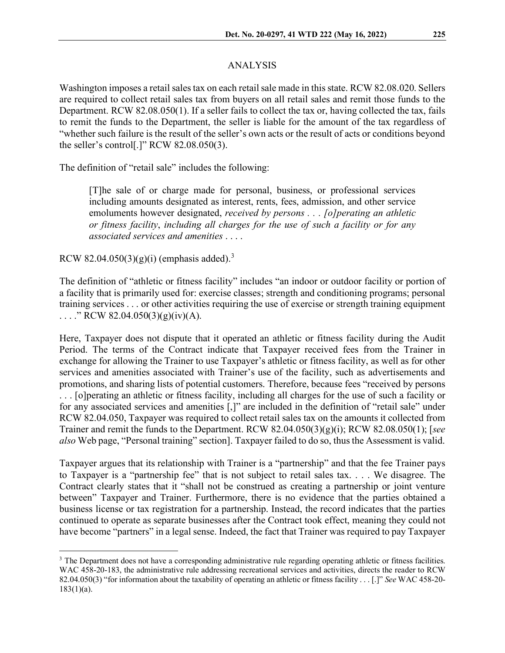# ANALYSIS

Washington imposes a retail sales tax on each retail sale made in this state. RCW 82.08.020. Sellers are required to collect retail sales tax from buyers on all retail sales and remit those funds to the Department. RCW 82.08.050(1). If a seller fails to collect the tax or, having collected the tax, fails to remit the funds to the Department, the seller is liable for the amount of the tax regardless of "whether such failure is the result of the seller's own acts or the result of acts or conditions beyond the seller's control[.]" RCW 82.08.050(3).

The definition of "retail sale" includes the following:

[T]he sale of or charge made for personal, business, or professional services including amounts designated as interest, rents, fees, admission, and other service emoluments however designated, *received by persons . . . [o]perating an athletic or fitness facility*, *including all charges for the use of such a facility or for any associated services and amenities* . . . .

RCW 82.04.050([3](#page-3-0))(g)(i) (emphasis added).<sup>3</sup>

The definition of "athletic or fitness facility" includes "an indoor or outdoor facility or portion of a facility that is primarily used for: exercise classes; strength and conditioning programs; personal training services . . . or other activities requiring the use of exercise or strength training equipment ...." RCW 82.04.050(3)(g)(iv)(A).

Here, Taxpayer does not dispute that it operated an athletic or fitness facility during the Audit Period. The terms of the Contract indicate that Taxpayer received fees from the Trainer in exchange for allowing the Trainer to use Taxpayer's athletic or fitness facility, as well as for other services and amenities associated with Trainer's use of the facility, such as advertisements and promotions, and sharing lists of potential customers. Therefore, because fees "received by persons . . . [o]perating an athletic or fitness facility, including all charges for the use of such a facility or for any associated services and amenities [,]" are included in the definition of "retail sale" under RCW 82.04.050, Taxpayer was required to collect retail sales tax on the amounts it collected from Trainer and remit the funds to the Department. RCW 82.04.050(3)(g)(i); RCW 82.08.050(1); [*see also* Web page, "Personal training" section]. Taxpayer failed to do so, thus the Assessment is valid.

Taxpayer argues that its relationship with Trainer is a "partnership" and that the fee Trainer pays to Taxpayer is a "partnership fee" that is not subject to retail sales tax. . . . We disagree. The Contract clearly states that it "shall not be construed as creating a partnership or joint venture between" Taxpayer and Trainer. Furthermore, there is no evidence that the parties obtained a business license or tax registration for a partnership. Instead, the record indicates that the parties continued to operate as separate businesses after the Contract took effect, meaning they could not have become "partners" in a legal sense. Indeed, the fact that Trainer was required to pay Taxpayer

<span id="page-3-0"></span><sup>&</sup>lt;sup>3</sup> The Department does not have a corresponding administrative rule regarding operating athletic or fitness facilities. WAC 458-20-183, the administrative rule addressing recreational services and activities, directs the reader to RCW 82.04.050(3) "for information about the taxability of operating an athletic or fitness facility . . . [.]" *See* WAC 458-20-  $183(1)(a)$ .